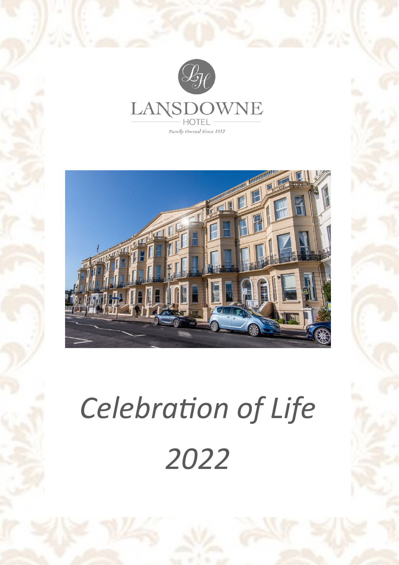



# *Celebration of Life 2022*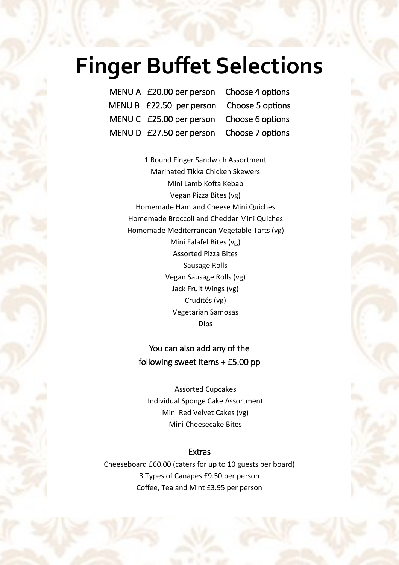### **Finger Buffet Selections**

| MENU A £20.00 per person Choose 4 options |  |
|-------------------------------------------|--|
| MENU B £22.50 per person Choose 5 options |  |
| MENU C £25.00 per person Choose 6 options |  |
| MENU D £27.50 per person Choose 7 options |  |

1 Round Finger Sandwich Assortment Marinated Tikka Chicken Skewers Mini Lamb Kofta Kebab Vegan Pizza Bites (vg) Homemade Ham and Cheese Mini Quiches Homemade Broccoli and Cheddar Mini Quiches Homemade Mediterranean Vegetable Tarts (vg) Mini Falafel Bites (vg) Assorted Pizza Bites Sausage Rolls Vegan Sausage Rolls (vg) Jack Fruit Wings (vg) Crudités (vg) Vegetarian Samosas Dips

### You can also add any of the following sweet items + £5.00 pp

Assorted Cupcakes Individual Sponge Cake Assortment Mini Red Velvet Cakes (vg) Mini Cheesecake Bites

#### Extras

Cheeseboard £60.00 (caters for up to 10 guests per board) 3 Types of Canapés £9.50 per person Coffee, Tea and Mint £3.95 per person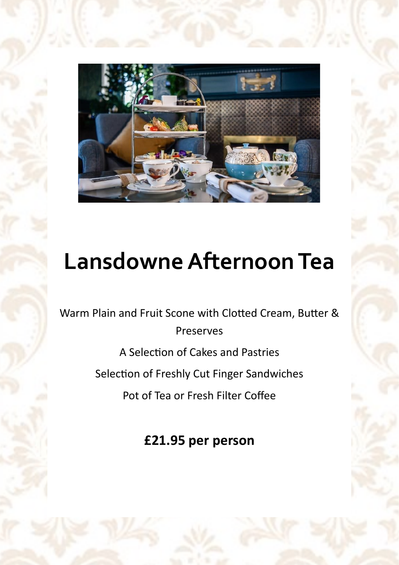

## **Lansdowne Afternoon Tea**

Warm Plain and Fruit Scone with Clotted Cream, Butter & Preserves

A Selection of Cakes and Pastries

Selection of Freshly Cut Finger Sandwiches

Pot of Tea or Fresh Filter Coffee

**£21.95 per person**